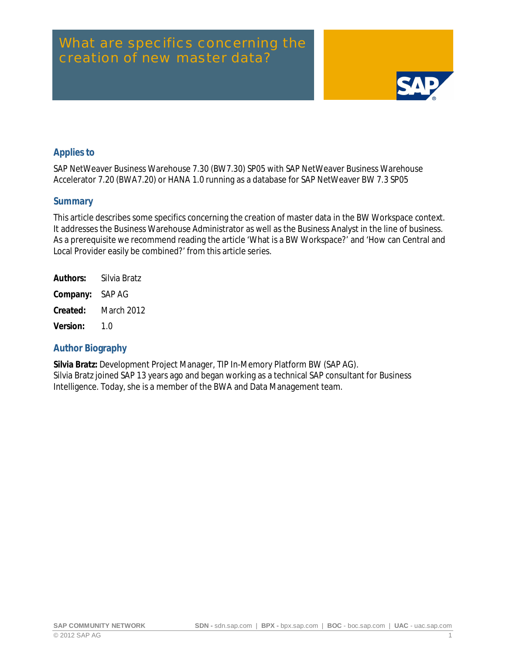# What are specifics concerning the creation of new master data?



## <span id="page-0-0"></span>**Applies to**

SAP NetWeaver Business Warehouse 7.30 (BW7.30) SP05 with SAP NetWeaver Business Warehouse Accelerator 7.20 (BWA7.20) or HANA 1.0 running as a database for SAP NetWeaver BW 7.3 SP05

#### <span id="page-0-1"></span>**Summary**

This article describes some specifics concerning the creation of master data in the BW Workspace context. It addresses the Business Warehouse Administrator as well as the Business Analyst in the line of business. As a prerequisite we recommend reading the article 'What is a BW Workspace?' and 'How can Central and Local Provider easily be combined?' from this article series.

| Authors: | Silvia Bratz      |
|----------|-------------------|
| Company: | SAP AG            |
| Created: | <b>March 2012</b> |
| Version: | 1 በ               |

#### <span id="page-0-2"></span>**Author Biography**

**Silvia Bratz:** Development Project Manager, TIP In-Memory Platform BW (SAP AG). Silvia Bratz joined SAP 13 years ago and began working as a technical SAP consultant for Business Intelligence. Today, she is a member of the BWA and Data Management team.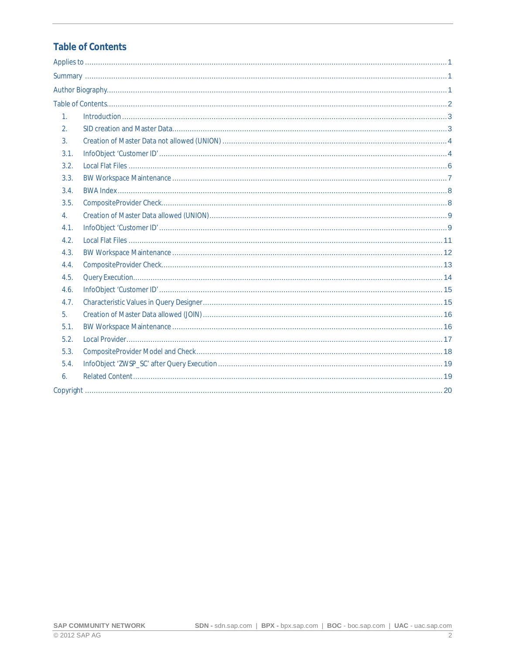# <span id="page-1-0"></span>**Table of Contents**

| 1 <sub>1</sub>   |  |
|------------------|--|
| 2.               |  |
| $\overline{3}$ . |  |
| 3.1.             |  |
| 3.2.             |  |
| 3.3.             |  |
| 3.4.             |  |
| 3.5.             |  |
| 4 <sup>1</sup>   |  |
| 4.1.             |  |
| 4.2.             |  |
| 4.3.             |  |
| 4.4.             |  |
| 4.5.             |  |
| 4.6.             |  |
| 4.7.             |  |
| 5 <sub>1</sub>   |  |
| 5.1.             |  |
| 5.2.             |  |
| 5.3.             |  |
| 5.4.             |  |
| 6.               |  |
|                  |  |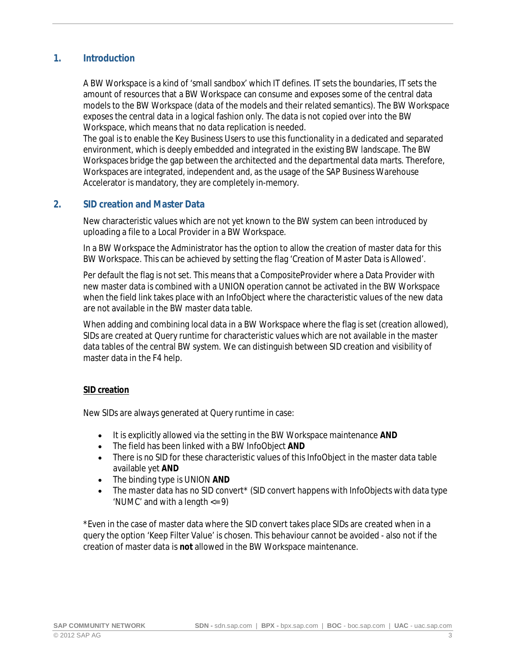#### **1. Introduction**

<span id="page-2-0"></span>A BW Workspace is a kind of 'small sandbox' which IT defines. IT sets the boundaries, IT sets the amount of resources that a BW Workspace can consume and exposes some of the central data models to the BW Workspace (data of the models and their related semantics). The BW Workspace exposes the central data in a logical fashion only. The data is not copied over into the BW Workspace, which means that no data replication is needed.

The goal is to enable the Key Business Users to use this functionality in a dedicated and separated environment, which is deeply embedded and integrated in the existing BW landscape. The BW Workspaces bridge the gap between the architected and the departmental data marts. Therefore, Workspaces are integrated, independent and, as the usage of the SAP Business Warehouse Accelerator is mandatory, they are completely in-memory.

#### **2. SID creation and Master Data**

<span id="page-2-1"></span>New characteristic values which are not yet known to the BW system can been introduced by uploading a file to a Local Provider in a BW Workspace.

In a BW Workspace the Administrator has the option to allow the creation of master data for this BW Workspace. This can be achieved by setting the flag 'Creation of Master Data is Allowed'.

Per default the flag is not set. This means that a CompositeProvider where a Data Provider with new master data is combined with a UNION operation cannot be activated in the BW Workspace when the field link takes place with an InfoObject where the characteristic values of the new data are not available in the BW master data table.

When adding and combining local data in a BW Workspace where the flag is set (creation allowed), SIDs are created at Query runtime for characteristic values which are not available in the master data tables of the central BW system. We can distinguish between SID creation and visibility of master data in the F4 help.

#### **SID creation**

New SIDs are always generated at Query runtime in case:

- · It is explicitly allowed via the setting in the BW Workspace maintenance **AND**
- · The field has been linked with a BW InfoObject **AND**
- There is no SID for these characteristic values of this InfoObject in the master data table available yet **AND**
- The binding type is UNION AND
- The master data has no SID convert\* (SID convert happens with InfoObjects with data type 'NUMC' and with a length <= 9)

\*Even in the case of master data where the SID convert takes place SIDs are created when in a query the option 'Keep Filter Value' is chosen. This behaviour cannot be avoided - also not if the creation of master data is **not** allowed in the BW Workspace maintenance.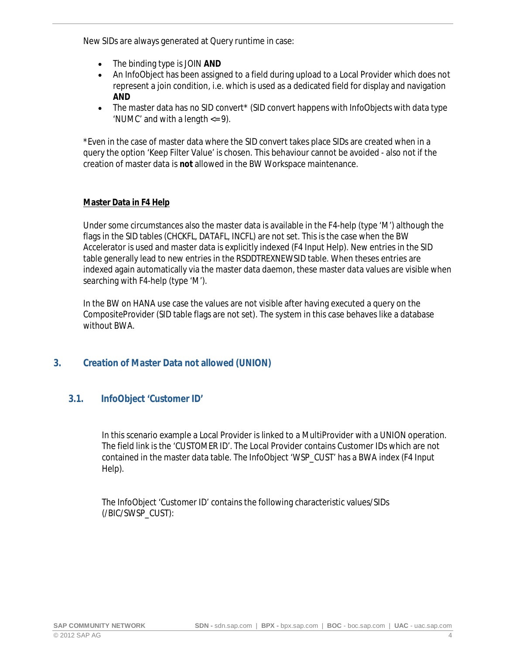New SIDs are always generated at Query runtime in case:

- The binding type is JOIN AND
- · An InfoObject has been assigned to a field during upload to a Local Provider which does not represent a join condition, i.e. which is used as a dedicated field for display and navigation **AND**
- The master data has no SID convert\* (SID convert happens with InfoObjects with data type 'NUMC' and with a length <= 9).

\*Even in the case of master data where the SID convert takes place SIDs are created when in a query the option 'Keep Filter Value' is chosen. This behaviour cannot be avoided - also not if the creation of master data is **not** allowed in the BW Workspace maintenance.

#### **Master Data in F4 Help**

Under some circumstances also the master data is available in the F4-help (type 'M') although the flags in the SID tables (CHCKFL, DATAFL, INCFL) are not set. This is the case when the BW Accelerator is used and master data is explicitly indexed (F4 Input Help). New entries in the SID table generally lead to new entries in the RSDDTREXNEWSID table. When theses entries are indexed again automatically via the master data daemon, these master data values are visible when searching with F4-help (type 'M').

In the BW on HANA use case the values are not visible after having executed a query on the CompositeProvider (SID table flags are not set). The system in this case behaves like a database without BWA.

### <span id="page-3-0"></span>**3. Creation of Master Data not allowed (UNION)**

### <span id="page-3-1"></span>**3.1. InfoObject 'Customer ID'**

In this scenario example a Local Provider is linked to a MultiProvider with a UNION operation. The field link is the 'CUSTOMER ID'. The Local Provider contains Customer IDs which are not contained in the master data table. The InfoObject 'WSP\_CUST' has a BWA index (F4 Input Help).

The InfoObject 'Customer ID' contains the following characteristic values/SIDs (/BIC/SWSP\_CUST):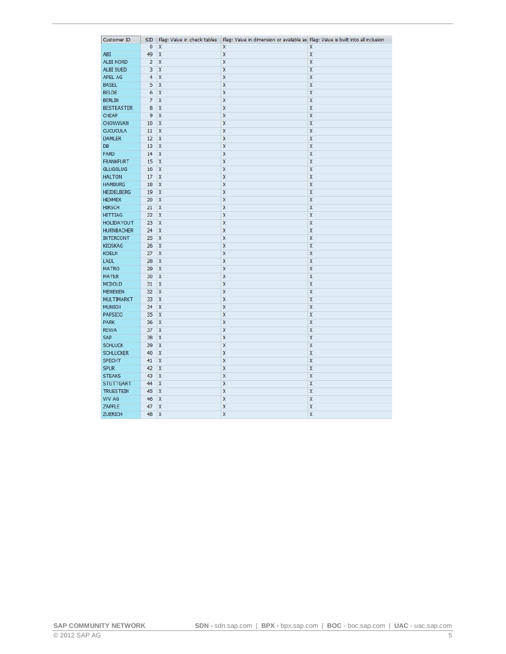| Customer ID       | <b>SID</b>     | Flag: Value in check tables | Flag: Value in dimension or available as Flag: Value is built into all inclusion |                         |
|-------------------|----------------|-----------------------------|----------------------------------------------------------------------------------|-------------------------|
|                   | $\overline{0}$ | X                           | χ                                                                                | Χ                       |
| ABI               | 49             | X                           | X                                                                                | X                       |
| <b>ALBI NORD</b>  | $\overline{2}$ | X                           | X                                                                                | X                       |
| ALBI SUED         | 3              | X                           | X                                                                                | X                       |
| APEL AG           | $\overline{4}$ | X                           | X                                                                                | X                       |
| <b>BASEL</b>      | 5              | X                           | X                                                                                | X                       |
| <b>BELDE</b>      | 6              | X                           | X                                                                                | X                       |
| <b>BERLIN</b>     | $\overline{7}$ | X                           | X                                                                                | X                       |
| <b>BESTEASTER</b> | 8              | X                           | X                                                                                | X                       |
| <b>CHEAP</b>      | $\overline{9}$ | X                           | X                                                                                | $\overline{\mathsf{X}}$ |
| CHOWWAN           | 10             | X                           | X                                                                                | $\mathsf{x}$            |
| <b>CUCUCULA</b>   | 11             | X                           | X                                                                                | X                       |
| <b>DAMLER</b>     | 12             | $\mathsf{\overline{X}}$     | X                                                                                | X                       |
| <b>DB</b>         | 13             | $\mathsf{X}$                | X                                                                                | X                       |
| FARD              | 14             | X                           | X                                                                                | $\mathsf{x}$            |
| <b>FRANKFURT</b>  | 15             | $\overline{X}$              | X                                                                                | $\overline{\mathsf{x}}$ |
| <b>GLUGGLUG</b>   | 16             | X                           | $\overline{\mathsf{x}}$                                                          | $\mathsf{x}$            |
| <b>HALTON</b>     | 17             | X                           | X                                                                                | X                       |
| <b>HAMBURG</b>    | 18             | $\overline{X}$              | X                                                                                | $\mathsf{\tilde{X}}$    |
| <b>HEIDELBERG</b> | 19             | X                           | $\overline{\mathsf{X}}$                                                          | X                       |
| <b>HEXMEX</b>     | 20             | $\mathsf{X}$                | X                                                                                | $\overline{\mathsf{x}}$ |
| <b>HIRSCH</b>     | 21             | $\overline{\mathsf{x}}$     | $\mathsf{\overline{X}}$                                                          | X                       |
| <b>HITTIAG</b>    | 22             | X                           | X                                                                                | $\mathsf{X}$            |
| <b>HOLIDAYOUT</b> | 23             | $\overline{X}$              | X                                                                                | X                       |
| <b>HURNBACHER</b> | 24             | $\mathsf{x}$                | X                                                                                | $\mathsf{x}$            |
| <b>INTERCONT</b>  | 25             | X                           | X                                                                                | X                       |
| <b>KIOSKAG</b>    | 26             | X                           | X                                                                                | X                       |
| <b>KOELN</b>      | 27             | X                           | X                                                                                | X                       |
| LADL              | 28             | $\mathsf{\tilde{X}}$        | X                                                                                | X                       |
| <b>MATRO</b>      | 29             | X                           | X                                                                                | X                       |
| <b>MAYER</b>      | 30             | X                           | X                                                                                | X                       |
| <b>MCDOLD</b>     | 31             | X                           | X                                                                                | $\mathsf{\tilde{X}}$    |
| <b>MENEKEN</b>    | 32             | X                           | X                                                                                | X                       |
| <b>MULTIMARKT</b> | 33             | X                           | X                                                                                | X                       |
| <b>MUNICH</b>     | 34             | X                           | X                                                                                | $\mathsf{x}$            |
| PAPSICO           | 35             | X                           | X                                                                                | X                       |
| <b>PARK</b>       | 36             | X                           | X                                                                                | X                       |
| <b>REWA</b>       | 37             | X                           | X                                                                                | X                       |
| SAP               | 38             | X                           | X                                                                                | $\pmb{\chi}$            |
| <b>SCHLUCK</b>    | 39             | X                           | X                                                                                | X                       |
| <b>SCHLUCKER</b>  | 40             | $\overline{\mathsf{x}}$     | $\mathsf{\chi}$                                                                  | $\mathsf{X}$            |
| <b>SPECHT</b>     | 41             | χ                           | Χ                                                                                | X                       |
| <b>SPUR</b>       | 42             | X                           | X                                                                                | X                       |
| <b>STEAKS</b>     | 43             | X                           | X                                                                                | X                       |
| <b>STUTTGART</b>  | 44             | X                           | X                                                                                | X                       |
| <b>TRUESTEIN</b>  | 45             | X                           | X                                                                                | X                       |
| WV AG             | 46             | X                           | X                                                                                | X                       |
| ZAPFLE            | 47             | X                           | X                                                                                | $\mathsf{\overline{X}}$ |
| <b>ZUERICH</b>    | 48             | X                           | $\overline{\mathsf{x}}$                                                          | $\overline{\mathsf{x}}$ |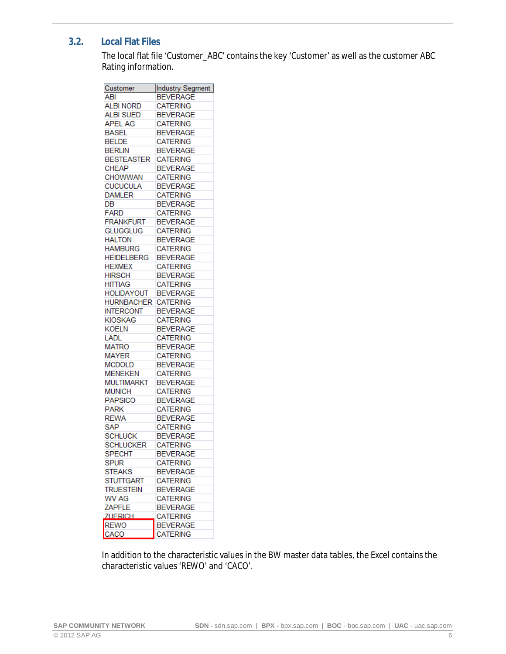## **3.2. Local Flat Files**

<span id="page-5-0"></span>The local flat file 'Customer\_ABC' contains the key 'Customer' as well as the customer ABC Rating information.

| Customer          | Industry Segment |
|-------------------|------------------|
| ABI               | <b>BEVERAGE</b>  |
| <b>ALBI NORD</b>  | <b>CATERING</b>  |
| <b>ALBI SUED</b>  | <b>BEVERAGE</b>  |
| <b>APEL AG</b>    | <b>CATERING</b>  |
| <b>BASEL</b>      | <b>BEVERAGE</b>  |
| <b>BELDE</b>      | <b>CATERING</b>  |
| <b>BERLIN</b>     | <b>BEVERAGE</b>  |
| <b>BESTEASTER</b> | <b>CATERING</b>  |
| <b>CHEAP</b>      | <b>BEVERAGE</b>  |
| <b>CHOWWAN</b>    | <b>CATERING</b>  |
| <b>CUCUCULA</b>   | <b>BEVERAGE</b>  |
| <b>DAMLER</b>     | <b>CATERING</b>  |
| DB                | <b>BEVERAGE</b>  |
| <b>FARD</b>       | <b>CATERING</b>  |
| <b>FRANKFURT</b>  | <b>BEVERAGE</b>  |
| <b>GLUGGLUG</b>   | <b>CATERING</b>  |
| <b>HALTON</b>     | <b>BEVERAGE</b>  |
| <b>HAMBURG</b>    | <b>CATERING</b>  |
| <b>HEIDELBERG</b> | <b>BEVERAGE</b>  |
| <b>HEXMEX</b>     | <b>CATERING</b>  |
| <b>HIRSCH</b>     | <b>BEVERAGE</b>  |
| <b>HITTIAG</b>    | <b>CATERING</b>  |
| <b>HOLIDAYOUT</b> | <b>BEVERAGE</b>  |
| <b>HURNBACHER</b> | <b>CATERING</b>  |
| <b>INTERCONT</b>  | <b>BEVERAGE</b>  |
| <b>KIOSKAG</b>    | <b>CATERING</b>  |
| <b>KOELN</b>      | <b>BEVERAGE</b>  |
| <b>LADL</b>       | <b>CATERING</b>  |
| <b>MATRO</b>      | <b>BEVERAGE</b>  |
| <b>MAYER</b>      | <b>CATERING</b>  |
| <b>MCDOLD</b>     | <b>BEVERAGE</b>  |
| <b>MENEKEN</b>    | <b>CATERING</b>  |
| <b>MULTIMARKT</b> | <b>BEVERAGE</b>  |
| <b>MUNICH</b>     | <b>CATERING</b>  |
| <b>PAPSICO</b>    | <b>BEVERAGE</b>  |
| <b>PARK</b>       | <b>CATERING</b>  |
| <b>REWA</b>       | <b>BEVERAGE</b>  |
| <b>SAP</b>        | <b>CATERING</b>  |
|                   |                  |
| <b>SCHLUCK</b>    | <b>BEVERAGE</b>  |
| SCHLUCKER         | <b>CATERING</b>  |
| <b>SPECHT</b>     | <b>BEVERAGE</b>  |
| Spur              | <b>CATERING</b>  |
| STEAKS            | <b>BEVERAGE</b>  |
| STUTTGART         | <b>CATERING</b>  |
| <b>TRUESTEIN</b>  | <b>BEVERAGE</b>  |
| WV AG             | <b>CATERING</b>  |
| ZAPFLE            | <b>BEVERAGE</b>  |
| <b>ZUERICH</b>    | <b>CATERING</b>  |
| <b>REWO</b>       | <b>BEVERAGE</b>  |
| CACO              | <b>CATERING</b>  |

In addition to the characteristic values in the BW master data tables, the Excel contains the characteristic values 'REWO' and 'CACO'.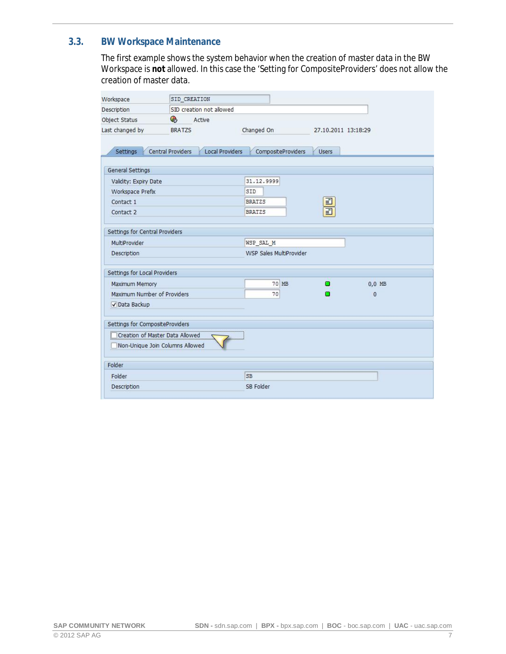### **3.3. BW Workspace Maintenance**

<span id="page-6-0"></span>The first example shows the system behavior when the creation of master data in the BW Workspace is **not** allowed. In this case the 'Setting for CompositeProviders' does not allow the creation of master data.

| Workspace                       | SID CREATION                                |                         |                         |          |
|---------------------------------|---------------------------------------------|-------------------------|-------------------------|----------|
| Description                     | SID creation not allowed                    |                         |                         |          |
| Object Status                   | G<br>Active                                 |                         |                         |          |
| Last changed by                 | <b>BRATZS</b>                               | Changed On              | 27.10.2011 13:18:29     |          |
|                                 |                                             |                         |                         |          |
| Settings                        | Central Providers<br><b>Local Providers</b> | CompositeProviders      | <b>Users</b>            |          |
|                                 |                                             |                         |                         |          |
| General Settings                |                                             |                         |                         |          |
| Validity: Expiry Date           |                                             | 31.12.9999              |                         |          |
| Workspace Prefix                |                                             | SID                     |                         |          |
| Contact 1                       |                                             | <b>BRATZS</b>           | ■                       |          |
| Contact 2                       |                                             | <b>BRATZS</b>           | $\overline{\mathbf{E}}$ |          |
|                                 |                                             |                         |                         |          |
| Settings for Central Providers  |                                             |                         |                         |          |
| MultiProvider                   |                                             | WSP SAL M               |                         |          |
| Description                     |                                             | WSP Sales MultiProvider |                         |          |
|                                 |                                             |                         |                         |          |
| Settings for Local Providers    |                                             |                         |                         |          |
| <b>Maximum Memory</b>           |                                             | 70 MB                   | о                       | $0.0$ MB |
| Maximum Number of Providers     |                                             | 70                      | a an                    | $\bf{0}$ |
| √ Data Backup                   |                                             |                         |                         |          |
|                                 |                                             |                         |                         |          |
| Settings for CompositeProviders |                                             |                         |                         |          |
|                                 | Creation of Master Data Allowed             |                         |                         |          |
|                                 | Non-Unique Join Columns Allowed             |                         |                         |          |
|                                 |                                             |                         |                         |          |
| Folder                          |                                             |                         |                         |          |
| Folder                          |                                             | <b>SB</b>               |                         |          |
| Description                     |                                             | SB Folder               |                         |          |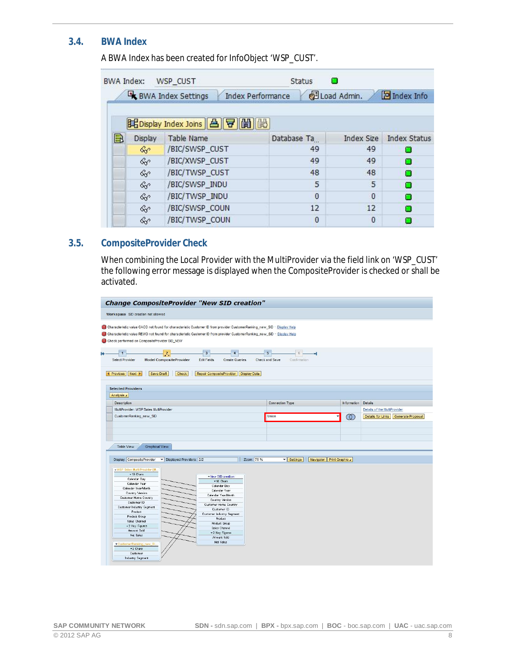#### **3.4. BWA Index**

<span id="page-7-0"></span>A BWA Index has been created for InfoObject 'WSP\_CUST'.

| <b>BWA Index:</b> |         | WSP CUST                              | <b>Status</b>            |                   |                     |
|-------------------|---------|---------------------------------------|--------------------------|-------------------|---------------------|
|                   |         | BWA Index Settings                    | <b>Index Performance</b> | di Load Admin.    | Index Info          |
|                   |         | BEDisplay Index Joins   合   守   開   嚴 |                          |                   |                     |
| B                 | Display | <b>Table Name</b>                     | Database Ta              | <b>Index Size</b> | <b>Index Status</b> |
|                   | &       | /BIC/SWSP_CUST                        | 49                       | 49                |                     |
|                   | &       | /BIC/XWSP_CUST                        | 49                       | 49                | о                   |
|                   | &       | /BIC/TWSP_CUST                        | 48                       | 48                | п                   |
|                   | &       | /BIC/SWSP_INDU                        | 5                        | 5                 | о                   |
|                   | &       | /BIC/TWSP_INDU                        | $\bf{0}$                 | $\theta$          | о                   |
|                   | &c      | /BIC/SWSP_COUN                        | 12                       | 12                | О                   |
|                   | &p      | /BIC/TWSP_COUN                        | $\bf{0}$                 | $\theta$          |                     |

#### **3.5. CompositeProvider Check**

<span id="page-7-1"></span>When combining the Local Provider with the MultiProvider via the field link on 'WSP\_CUST' the following error message is displayed when the CompositeProvider is checked or shall be activated.

| <b>Change CompositeProvider "New SID creation"</b>                                                                                                                                                                                                                                                 |                                                                                          |                     |                     |              |                         |                                     |
|----------------------------------------------------------------------------------------------------------------------------------------------------------------------------------------------------------------------------------------------------------------------------------------------------|------------------------------------------------------------------------------------------|---------------------|---------------------|--------------|-------------------------|-------------------------------------|
| Workspace SID creation not allowed                                                                                                                                                                                                                                                                 |                                                                                          |                     |                     |              |                         |                                     |
| Characteristic value CACO not found for characteristic Customer ID from provider CustomerRanking_new_SID - Display Help<br>Characteristic value REWO not found for characteristic Customer ID from provider CustomerRanking_new_SID - Display Help<br>Check performed on CompositeProvider SID_NEW |                                                                                          |                     |                     |              |                         |                                     |
| $2\overline{2}$<br>$\blacksquare$<br><b>Select Provider</b><br><b>Model CompositeProvider</b>                                                                                                                                                                                                      | $\overline{\mathbf{3}}$<br>$\overline{4}$<br><b>Edit Fields</b><br><b>Create Queries</b> |                     | 5<br>Check and Save | Confirmation |                         |                                     |
| Save Draft<br>Check<br><b>4</b> Previous<br>Next <b>A</b>                                                                                                                                                                                                                                          | <b>Repair CompositeProvider</b>                                                          | <b>Display Data</b> |                     |              |                         |                                     |
| <b>Selected Providers</b>                                                                                                                                                                                                                                                                          |                                                                                          |                     |                     |              |                         |                                     |
| Analysis 4                                                                                                                                                                                                                                                                                         |                                                                                          |                     |                     |              |                         |                                     |
|                                                                                                                                                                                                                                                                                                    |                                                                                          |                     |                     |              |                         |                                     |
| <b>Description</b>                                                                                                                                                                                                                                                                                 |                                                                                          |                     | Connection Type     |              | <b>Information</b>      | <b>Details</b>                      |
| MultiProvider: WSP Sales MultiProvider                                                                                                                                                                                                                                                             |                                                                                          |                     |                     |              |                         | Details of the MultiProvider        |
| CustomerRanking new SID                                                                                                                                                                                                                                                                            |                                                                                          |                     | Union               |              | $\infty$                | Details for Links Generate Proposal |
|                                                                                                                                                                                                                                                                                                    |                                                                                          |                     |                     |              |                         |                                     |
|                                                                                                                                                                                                                                                                                                    |                                                                                          |                     |                     |              |                         |                                     |
|                                                                                                                                                                                                                                                                                                    |                                                                                          |                     |                     |              |                         |                                     |
|                                                                                                                                                                                                                                                                                                    |                                                                                          |                     |                     |              |                         |                                     |
| Table View<br>Graphical View                                                                                                                                                                                                                                                                       |                                                                                          |                     |                     |              |                         |                                     |
|                                                                                                                                                                                                                                                                                                    |                                                                                          |                     |                     |              |                         |                                     |
| Displayed Providers: 2/2<br>Display: CompositeProvider<br>$\blacktriangledown$                                                                                                                                                                                                                     |                                                                                          | Zoom: 75 %          |                     | v Settings   | Navigator Print Graphic |                                     |
|                                                                                                                                                                                                                                                                                                    |                                                                                          |                     |                     |              |                         |                                     |
| - WSP Sales Multi Provider (M.,                                                                                                                                                                                                                                                                    |                                                                                          |                     |                     |              |                         |                                     |
| $-10$ Chars                                                                                                                                                                                                                                                                                        | - New SID creation                                                                       |                     |                     |              |                         |                                     |
| Calendar Day<br>Calendar Year                                                                                                                                                                                                                                                                      | $-10$ Chars                                                                              |                     |                     |              |                         |                                     |
| Calendar Year/Month                                                                                                                                                                                                                                                                                | Calendar Day                                                                             |                     |                     |              |                         |                                     |
| Country Version                                                                                                                                                                                                                                                                                    | Calendar Year                                                                            |                     |                     |              |                         |                                     |
| <b>Customer Home Country</b>                                                                                                                                                                                                                                                                       | Calendar Year/Month                                                                      |                     |                     |              |                         |                                     |
| Customer ID                                                                                                                                                                                                                                                                                        | Country Version                                                                          |                     |                     |              |                         |                                     |
| Customer Industry Segment                                                                                                                                                                                                                                                                          | Customer Home Country<br>Customer ID                                                     |                     |                     |              |                         |                                     |
| Product                                                                                                                                                                                                                                                                                            | Customer Industry Segment                                                                |                     |                     |              |                         |                                     |
| Product Group                                                                                                                                                                                                                                                                                      | Product                                                                                  |                     |                     |              |                         |                                     |
| Sales Channel                                                                                                                                                                                                                                                                                      | Product Group                                                                            |                     |                     |              |                         |                                     |
| » 2 Key Figures                                                                                                                                                                                                                                                                                    | Sales Channel                                                                            |                     |                     |              |                         |                                     |
| Amount Sold<br>Net Sales                                                                                                                                                                                                                                                                           | *2 Key Figures                                                                           |                     |                     |              |                         |                                     |
|                                                                                                                                                                                                                                                                                                    | Amount Sold                                                                              |                     |                     |              |                         |                                     |
| CustomerRanking_new_SI.                                                                                                                                                                                                                                                                            | Net Sales                                                                                |                     |                     |              |                         |                                     |
| $-2$ Chars                                                                                                                                                                                                                                                                                         |                                                                                          |                     |                     |              |                         |                                     |
| Customer                                                                                                                                                                                                                                                                                           |                                                                                          |                     |                     |              |                         |                                     |
| Industry Segment                                                                                                                                                                                                                                                                                   |                                                                                          |                     |                     |              |                         |                                     |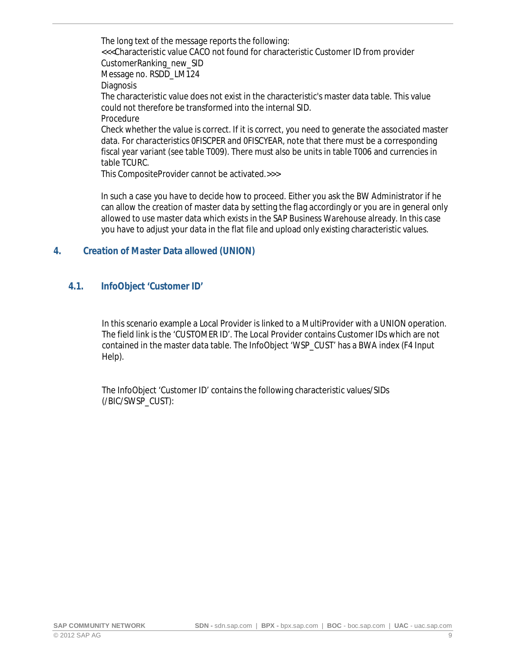The long text of the message reports the following: <<<Characteristic value CACO not found for characteristic Customer ID from provider CustomerRanking\_new\_SID Message no. RSDD\_LM124 **Diagnosis** The characteristic value does not exist in the characteristic's master data table. This value could not therefore be transformed into the internal SID. Procedure Check whether the value is correct. If it is correct, you need to generate the associated master data. For characteristics 0FISCPER and 0FISCYEAR, note that there must be a corresponding fiscal year variant (see table T009). There must also be units in table T006 and currencies in table TCURC.

This CompositeProvider cannot be activated.>>>

In such a case you have to decide how to proceed. Either you ask the BW Administrator if he can allow the creation of master data by setting the flag accordingly or you are in general only allowed to use master data which exists in the SAP Business Warehouse already. In this case you have to adjust your data in the flat file and upload only existing characteristic values.

#### <span id="page-8-0"></span>**4. Creation of Master Data allowed (UNION)**

#### <span id="page-8-1"></span>**4.1. InfoObject 'Customer ID'**

In this scenario example a Local Provider is linked to a MultiProvider with a UNION operation. The field link is the 'CUSTOMER ID'. The Local Provider contains Customer IDs which are not contained in the master data table. The InfoObject 'WSP\_CUST' has a BWA index (F4 Input Help).

The InfoObject 'Customer ID' contains the following characteristic values/SIDs (/BIC/SWSP\_CUST):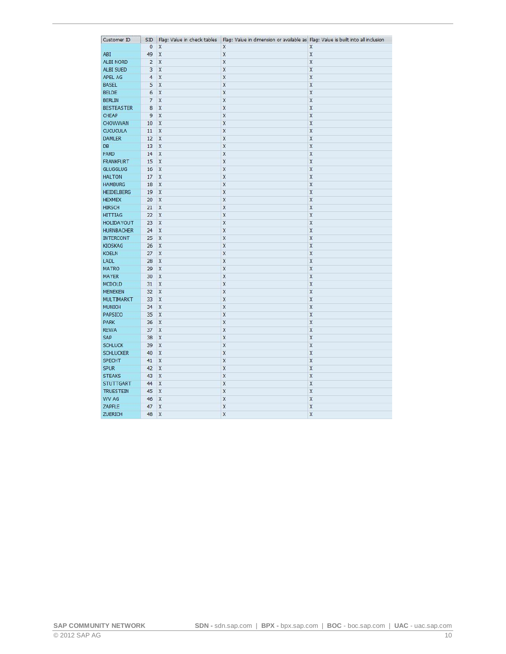| Customer ID       | <b>SID</b>     | Flag: Value in check tables | Flag: Value in dimension or available as Flag: Value is built into all inclusion |                         |
|-------------------|----------------|-----------------------------|----------------------------------------------------------------------------------|-------------------------|
|                   | $\overline{0}$ | X                           | χ                                                                                | Χ                       |
| ABI               | 49             | X                           | X                                                                                | X                       |
| <b>ALBI NORD</b>  | $\overline{2}$ | $\overline{X}$              | X                                                                                | $\mathsf{x}$            |
| ALBI SUED         | 3              | X                           | X                                                                                | X                       |
| APEL AG           | $\overline{4}$ | X                           | X                                                                                | X                       |
| <b>BASEL</b>      | 5              | X                           | $\overline{\mathsf{x}}$                                                          | X                       |
| <b>BELDE</b>      | 6              | X                           | X                                                                                | X                       |
| <b>BERLIN</b>     | $\overline{7}$ | X                           | X                                                                                | X                       |
| <b>BESTEASTER</b> | 8              | $\overline{\mathsf{x}}$     | X                                                                                | $\mathsf{X}$            |
| <b>CHEAP</b>      | 9              | X                           | X                                                                                | X                       |
| CHOWWAN           | 10             | X                           | X                                                                                | $\mathsf{x}$            |
| <b>CUCUCULA</b>   | 11             | X                           | X                                                                                | X                       |
| <b>DAMLER</b>     | 12             | $\overline{X}$              | X                                                                                | X                       |
| <b>DB</b>         | 13             | X                           | X                                                                                | X                       |
| FARD              | 14             | X                           | X                                                                                | $\mathsf{x}$            |
| <b>FRANKFURT</b>  | 15             | X                           | X                                                                                | X                       |
| <b>GLUGGLUG</b>   | 16             | X                           | X                                                                                | X                       |
| <b>HALTON</b>     | 17             | X                           | X                                                                                | X                       |
| <b>HAMBURG</b>    | 18             | X                           | X                                                                                | $\mathsf{x}$            |
| <b>HEIDELBERG</b> | 19             | X                           | X                                                                                | X                       |
| <b>HEXMEX</b>     | 20             | X                           | X                                                                                | $\mathsf{\overline{X}}$ |
| <b>HIRSCH</b>     | 21             | X                           | X                                                                                | X                       |
| <b>HITTIAG</b>    | 22             | X                           | X                                                                                | X                       |
| <b>HOLIDAYOUT</b> | 23             | X                           | X                                                                                | X                       |
| <b>HURNBACHER</b> | 24             | $\mathsf{x}$                | X                                                                                | X                       |
| <b>INTERCONT</b>  | 25             | X                           | X                                                                                | X                       |
| <b>KIOSKAG</b>    | 26             | X                           | X                                                                                | $\mathsf{x}$            |
| <b>KOELN</b>      | 27             | X                           | X                                                                                | X                       |
| LADL              | 28             | X                           | X                                                                                | X                       |
| <b>MATRO</b>      | 29             | X                           | X                                                                                | X                       |
| <b>MAYER</b>      | 30             | X                           | X                                                                                | X                       |
| <b>MCDOLD</b>     | 31             | X                           | X                                                                                | X                       |
| <b>MENEKEN</b>    | 32             | X                           | X                                                                                | X                       |
| <b>MULTIMARKT</b> | 33             | X                           | X                                                                                | X                       |
| <b>MUNICH</b>     | 34             | X                           | X                                                                                | X                       |
| PAPSICO           | 35             | X                           | X                                                                                | X                       |
| <b>PARK</b>       | 36             | X                           | X                                                                                | X                       |
| <b>REWA</b>       | 37             | X                           | X                                                                                | X                       |
| SAP               | 38             | X                           | X                                                                                | X                       |
| <b>SCHLUCK</b>    | 39             | X                           | X                                                                                | X                       |
| <b>SCHLUCKER</b>  | 40             | X                           | X                                                                                | X                       |
| <b>SPECHT</b>     | 41             | X                           | X                                                                                | X                       |
| <b>SPUR</b>       | 42             | X                           | X                                                                                | $\overline{\mathsf{x}}$ |
| <b>STEAKS</b>     | 43             | X                           | X                                                                                | X                       |
| <b>STUTTGART</b>  | 44             | X                           | X                                                                                | X                       |
| <b>TRUESTEIN</b>  | 45             | X                           | X                                                                                | X                       |
| WV AG             | 46             | X                           | X                                                                                | X                       |
| ZAPFLE            | 47             | X                           | X                                                                                | $\mathsf{\overline{X}}$ |
| <b>ZUERICH</b>    | 48             | X                           | X                                                                                | X                       |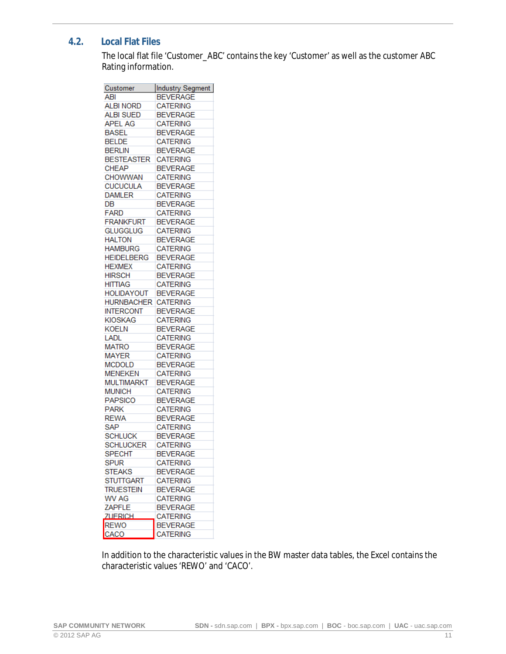#### **4.2. Local Flat Files**

<span id="page-10-0"></span>The local flat file 'Customer\_ABC' contains the key 'Customer' as well as the customer ABC Rating information.

| Customer          | Industry Segment |
|-------------------|------------------|
| ABI               | <b>BEVERAGE</b>  |
| <b>ALBI NORD</b>  | <b>CATERING</b>  |
| <b>ALBI SUED</b>  | <b>BEVERAGE</b>  |
| <b>APEL AG</b>    | CATERING         |
| <b>BASEL</b>      | <b>BEVERAGE</b>  |
| <b>BELDE</b>      | CATERING         |
| <b>BERLIN</b>     | <b>BEVERAGE</b>  |
| <b>BESTEASTER</b> | <b>CATERING</b>  |
| <b>CHEAP</b>      | BEVERAGE         |
| <b>CHOWWAN</b>    | CATERING         |
| <b>CUCUCULA</b>   | <b>BEVERAGE</b>  |
| <b>DAMLER</b>     | <b>CATERING</b>  |
| DB                | <b>BEVERAGE</b>  |
| <b>FARD</b>       | <b>CATERING</b>  |
| <b>FRANKFURT</b>  | <b>BEVERAGE</b>  |
| <b>GLUGGLUG</b>   | CATERING         |
| <b>HALTON</b>     | <b>BEVERAGE</b>  |
| HAMBURG           | <b>CATERING</b>  |
| <b>HEIDELBERG</b> | <b>BEVERAGE</b>  |
| <b>HEXMEX</b>     | CATERING         |
| <b>HIRSCH</b>     | <b>BEVERAGE</b>  |
| <b>HITTIAG</b>    | <b>CATERING</b>  |
| <b>HOLIDAYOUT</b> | <b>BEVERAGE</b>  |
| HURNBACHER        | <b>CATERING</b>  |
| <b>INTERCONT</b>  | <b>BEVERAGE</b>  |
| <b>KIOSKAG</b>    | CATERING         |
| <b>KOELN</b>      | <b>BEVERAGE</b>  |
| Ladl              | <b>CATERING</b>  |
| <b>MATRO</b>      | BEVERAGE         |
| <b>MAYER</b>      | <b>CATERING</b>  |
| <b>MCDOLD</b>     | <b>BEVERAGE</b>  |
| <b>MENEKEN</b>    | <b>CATERING</b>  |
| MULTIMARKT        | <b>BEVERAGE</b>  |
| <b>MUNICH</b>     | <b>CATERING</b>  |
| <b>PAPSICO</b>    | <b>BEVERAGE</b>  |
| <b>PARK</b>       | CATERING         |
| <b>REWA</b>       | <b>BEVERAGE</b>  |
| SAP               | <b>CATERING</b>  |
| <b>SCHLUCK</b>    | BEVERAGE         |
| <b>SCHLUCKER</b>  | <b>CATERING</b>  |
| <b>SPECHT</b>     | <b>BEVERAGE</b>  |
| <b>SPUR</b>       | <b>CATERING</b>  |
| <b>STEAKS</b>     | <b>BEVERAGE</b>  |
| <b>STUTTGART</b>  | <b>CATERING</b>  |
| <b>TRUESTEIN</b>  | <b>BEVERAGE</b>  |
| WV AG             | <b>CATERING</b>  |
| ZAPFLE            | <b>BEVERAGE</b>  |
| <b>ZUERICH</b>    | <b>CATERING</b>  |
| <b>REWO</b>       | <b>BEVERAGE</b>  |
| CACO              | <b>CATERING</b>  |
|                   |                  |

In addition to the characteristic values in the BW master data tables, the Excel contains the characteristic values 'REWO' and 'CACO'.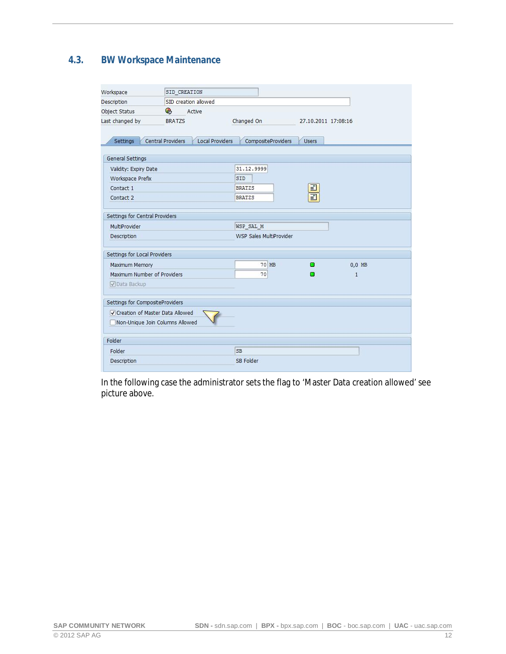### **4.3. BW Workspace Maintenance**

<span id="page-11-0"></span>

| Workspace                         | SID CREATION                                |                         |                     |              |  |
|-----------------------------------|---------------------------------------------|-------------------------|---------------------|--------------|--|
| <b>Description</b>                | SID creation allowed                        |                         |                     |              |  |
| Object Status                     | G<br>Active                                 |                         |                     |              |  |
| Last changed by                   | <b>BRATZS</b>                               | Changed On              | 27.10.2011 17:08:16 |              |  |
|                                   |                                             |                         |                     |              |  |
| Settings                          | Central Providers<br><b>Local Providers</b> | CompositeProviders      | <b>Users</b>        |              |  |
|                                   |                                             |                         |                     |              |  |
| General Settings                  |                                             |                         |                     |              |  |
| Validity: Expiry Date             |                                             | 31.12.9999              |                     |              |  |
| Workspace Prefix                  |                                             | SID                     |                     |              |  |
| Contact 1                         |                                             | <b>BRATZS</b>           | ⊒                   |              |  |
| Contact 2                         |                                             | <b>BRATZS</b>           | 司                   |              |  |
|                                   |                                             |                         |                     |              |  |
| Settings for Central Providers    |                                             |                         |                     |              |  |
| MultiProvider                     |                                             | WSP SAL M               |                     |              |  |
| Description                       |                                             | WSP Sales MultiProvider |                     |              |  |
| Settings for Local Providers      |                                             |                         |                     |              |  |
| Maximum Memory                    |                                             | 70 MB                   | п                   | $0.0$ MB     |  |
| Maximum Number of Providers       |                                             | 70                      | о                   | $\mathbf{1}$ |  |
| √Data Backup                      |                                             |                         |                     |              |  |
|                                   |                                             |                         |                     |              |  |
| Settings for CompositeProviders   |                                             |                         |                     |              |  |
| √ Creation of Master Data Allowed |                                             |                         |                     |              |  |
|                                   | Non-Unique Join Columns Allowed             |                         |                     |              |  |
|                                   |                                             |                         |                     |              |  |
| Folder                            |                                             |                         |                     |              |  |
| Folder                            |                                             | <b>SB</b>               |                     |              |  |
| Description                       |                                             | SB Folder               |                     |              |  |
|                                   |                                             |                         |                     |              |  |

In the following case the administrator sets the flag to 'Master Data creation allowed' see picture above.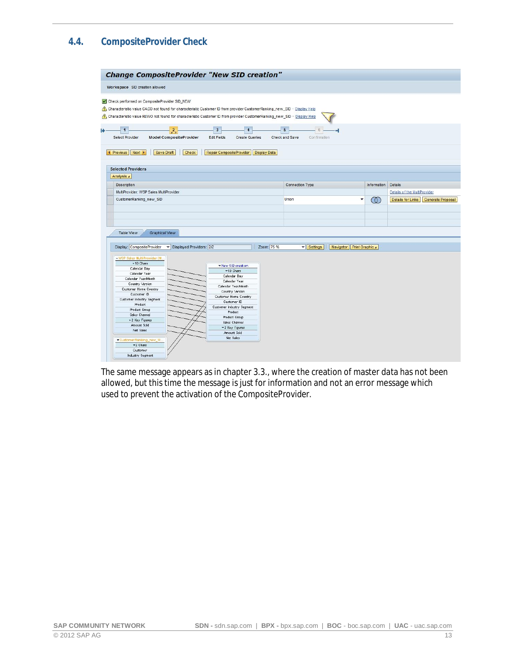## **4.4. CompositeProvider Check**

<span id="page-12-0"></span>

| <b>Change CompositeProvider "New SID creation"</b>                                                                                                                                                                                                                                                                                         |                                                 |                                                                                                                                                                                                                                                                                      |                     |                                                  |                          |             |                                     |
|--------------------------------------------------------------------------------------------------------------------------------------------------------------------------------------------------------------------------------------------------------------------------------------------------------------------------------------------|-------------------------------------------------|--------------------------------------------------------------------------------------------------------------------------------------------------------------------------------------------------------------------------------------------------------------------------------------|---------------------|--------------------------------------------------|--------------------------|-------------|-------------------------------------|
| Workspace SID creation allowed                                                                                                                                                                                                                                                                                                             |                                                 |                                                                                                                                                                                                                                                                                      |                     |                                                  |                          |             |                                     |
| Check performed on CompositeProvider SID_NEW<br>Characteristic value CACO not found for characteristic Customer ID from provider CustomerRanking_new_SID - Display Help<br>Characteristic value REWO not found for characteristic Customer ID from provider CustomerRanking_new_SID - Display Help<br><b>Select Provider</b>               | $\frac{2}{3}$<br><b>Model CompositeProvider</b> | $\overline{\mathbf{3}}$<br><b>Edit Fields</b><br><b>Create Queries</b>                                                                                                                                                                                                               |                     | $\overline{5}$<br>Check and Save<br>Confirmation |                          |             |                                     |
| Next P<br>Save Draft<br><b>4</b> Previous<br><b>Selected Providers</b>                                                                                                                                                                                                                                                                     | Check                                           | <b>Repair CompositeProvider</b>                                                                                                                                                                                                                                                      | <b>Display Data</b> |                                                  |                          |             |                                     |
| Analysis 4                                                                                                                                                                                                                                                                                                                                 |                                                 |                                                                                                                                                                                                                                                                                      |                     |                                                  |                          |             |                                     |
| <b>Description</b>                                                                                                                                                                                                                                                                                                                         |                                                 |                                                                                                                                                                                                                                                                                      |                     | Connection Type                                  |                          | Information | <b>Details</b>                      |
| MultiProvider: WSP Sales MultiProvider                                                                                                                                                                                                                                                                                                     |                                                 |                                                                                                                                                                                                                                                                                      |                     |                                                  |                          |             | Details of the MultiProvider        |
| CustomerRanking_new_SID                                                                                                                                                                                                                                                                                                                    |                                                 |                                                                                                                                                                                                                                                                                      |                     | Union                                            |                          | Œ           | Details for Links Generate Proposal |
|                                                                                                                                                                                                                                                                                                                                            |                                                 |                                                                                                                                                                                                                                                                                      |                     |                                                  |                          |             |                                     |
|                                                                                                                                                                                                                                                                                                                                            |                                                 |                                                                                                                                                                                                                                                                                      |                     |                                                  |                          |             |                                     |
|                                                                                                                                                                                                                                                                                                                                            |                                                 |                                                                                                                                                                                                                                                                                      |                     |                                                  |                          |             |                                     |
| <b>Table View</b><br><b>Graphical View</b>                                                                                                                                                                                                                                                                                                 |                                                 |                                                                                                                                                                                                                                                                                      |                     |                                                  |                          |             |                                     |
| Display: CompositeProvider                                                                                                                                                                                                                                                                                                                 | Displayed Providers: 2/2                        |                                                                                                                                                                                                                                                                                      | Zoom: 75 %          | <b>v</b> Settings                                | Navigator Print Graphic⊿ |             |                                     |
| -WSP Sales Multi Provider [M.,<br>$-10$ Chars<br>Calendar Day<br>Calendar Year<br>Calendar Year/Month<br>Country Version<br><b>Customer Home Country</b><br>Customer ID<br>Customer Industry Segment<br>Product<br>Product Group<br>Sales Channel<br>- 2 Key Figures<br>Amount Sold<br>Net Sales<br>Customer Ranking_new_SI.<br>$-2$ Chars |                                                 | * New SID creation<br>$= 10$ Chars<br>Calendar Day<br>Calendar Year<br>Calendar Year/Month<br>Country Version<br><b>Customer Home Country</b><br>Customer ID<br>Customer Industry Segment<br>Product<br>Product Group<br>Sales Channel<br>*2 Key Figures<br>Amount Sold<br>Net Sales |                     |                                                  |                          |             |                                     |
| Customer                                                                                                                                                                                                                                                                                                                                   |                                                 |                                                                                                                                                                                                                                                                                      |                     |                                                  |                          |             |                                     |
| Industry Segment                                                                                                                                                                                                                                                                                                                           |                                                 |                                                                                                                                                                                                                                                                                      |                     |                                                  |                          |             |                                     |

The same message appears as in chapter 3.3., where the creation of master data has not been allowed, but this time the message is just for information and not an error message which used to prevent the activation of the CompositeProvider.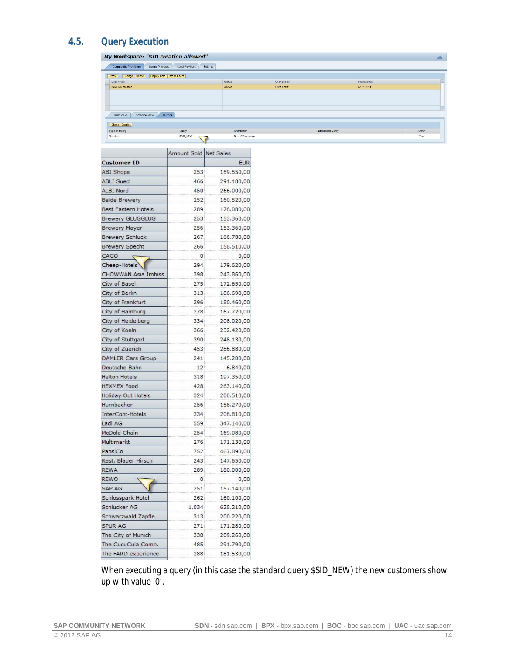## **4.5. Query Execution**

<span id="page-13-0"></span>

|                                                      | My Workspace: "SID creation allowed"             |                  |              |                  |            | Help   |
|------------------------------------------------------|--------------------------------------------------|------------------|--------------|------------------|------------|--------|
| <b>CompositeProviders</b>                            | Central Providers<br>Local Providers<br>Settings |                  |              |                  |            |        |
| Create   Change Delete   Display Data   Inform Users |                                                  |                  |              |                  |            |        |
| Description                                          |                                                  | <b>Status</b>    | Changed by   |                  | Changed On |        |
| New SID creation                                     |                                                  | Active           | Silvia Bratz |                  | 02.11.2011 |        |
|                                                      |                                                  |                  |              |                  |            |        |
|                                                      |                                                  |                  |              |                  |            |        |
|                                                      |                                                  |                  |              |                  |            |        |
|                                                      |                                                  |                  |              |                  |            |        |
| Graphical View<br>Table View                         | Queries                                          |                  |              |                  |            |        |
|                                                      |                                                  |                  |              |                  |            |        |
| <b>Change Queries</b>                                |                                                  |                  |              |                  |            |        |
| Type of Query                                        | Query                                            | Description      |              | Referenced Query |            | Active |
| Standard                                             | SSID_NEW                                         | New SID creation |              |                  |            | Yes    |

|                           | Amount Sold Net Sales |            |
|---------------------------|-----------------------|------------|
| <b>Customer ID</b>        |                       | <b>EUR</b> |
| ABI Shops                 | 253                   | 159.550,00 |
| <b>ABLI Sued</b>          | 466                   | 291.180,00 |
| ALBI Nord                 | 450                   | 266.000,00 |
| <b>Belde Brewery</b>      | 252                   | 160.520,00 |
| Best Eastern Hotels       | 289                   | 176.080,00 |
| <b>Brewery GLUGGLUG</b>   | 253                   | 153.360,00 |
| <b>Brewery Mayer</b>      | 256                   | 153.360,00 |
| <b>Brewery Schluck</b>    | 267                   | 166.780,00 |
| <b>Brewery Specht</b>     | 266                   | 158.510,00 |
| CACO                      | 0                     | 0,00       |
| Cheap-Hotels              | 294                   | 179.620,00 |
| CHOWWAN Asia Imbiss       | 398                   | 243.860,00 |
| City of Basel             | 275                   | 172.650,00 |
| City of Berlin            | 313                   | 186.690,00 |
| City of Frankfurt         | 296                   | 180.460,00 |
| City of Hamburg           | 278                   | 167.720,00 |
| City of Heidelberg        | 334                   | 208.020,00 |
| City of Koeln             | 366                   | 232.420,00 |
| City of Stuttgart         | 390                   | 248.130,00 |
| City of Zuerich           | 453                   | 286.880,00 |
| <b>DAMLER Cars Group</b>  | 241                   | 145.200,00 |
| Deutsche Bahn             | 12                    | 6.840,00   |
| <b>Halton Hotels</b>      | 318                   | 197.350,00 |
| <b>HEXMEX Food</b>        | 428                   | 263.140,00 |
| <b>Holiday Out Hotels</b> | 324                   | 200.510,00 |
| Hurnbacher                | 256                   | 158.270,00 |
| InterCont-Hotels          | 334                   | 206.810,00 |
| Ladl AG                   | 559                   | 347.140,00 |
| McDold Chain              | 254                   | 169.080,00 |
| Multimarkt                | 276                   | 171.130,00 |
| PapsiCo                   | 752                   | 467.890,00 |
| Rest. Blauer Hirsch       | 243                   | 147.650,00 |
| <b>REWA</b>               | 289                   | 180.000,00 |
| <b>REWO</b>               | 0                     | 0,00       |
| <b>SAP AG</b>             | 251                   | 157.140,00 |
| Schlosspark Hotel         | 262                   | 160.100,00 |
| Schlucker AG              | 1.034                 | 628.210,00 |
| Schwarzwald Zapfle        | 313                   | 200.220,00 |
| <b>SPUR AG</b>            | 271                   | 171.280,00 |
| The City of Munich        | 338                   | 209.260,00 |
| The CucuCula Comp.        | 485                   | 291.790,00 |
| The FARD experience       | 288                   | 181.530,00 |

When executing a query (in this case the standard query \$SID\_NEW) the new customers show up with value '0'.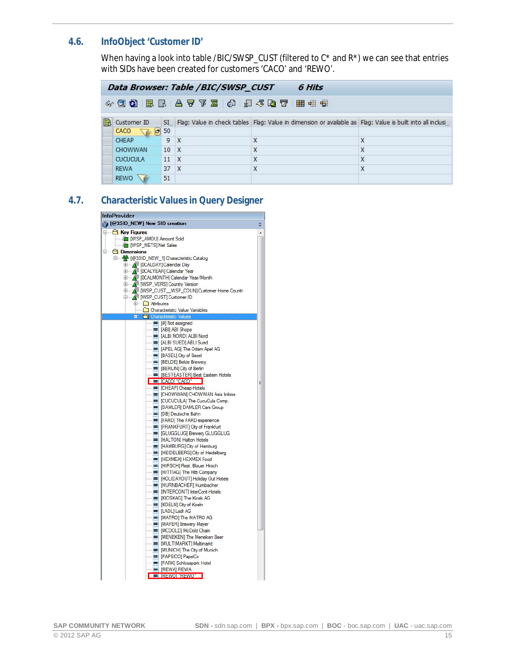#### **4.6. InfoObject 'Customer ID'**

<span id="page-14-0"></span>When having a look into table /BIC/SWSP\_CUST (filtered to  $C^*$  and  $R^*$ ) we can see that entries with SIDs have been created for customers 'CACO' and 'REWO'.

|    | Data Browser: Table /BIC/SWSP_CUST<br>6 Hits        |                  |              |                                                                                                               |        |  |  |  |
|----|-----------------------------------------------------|------------------|--------------|---------------------------------------------------------------------------------------------------------------|--------|--|--|--|
|    | $\sim$ 33 E E A 7 Y Z 0 $\mu$ 4 3 T H $\pm$ + $\pm$ |                  |              |                                                                                                               |        |  |  |  |
| FR | Customer ID                                         |                  |              | SI Flag: Value in check tables Flag: Value in dimension or available as Flag: Value is built into all inclusi |        |  |  |  |
|    | CACO                                                | $-50$            |              |                                                                                                               |        |  |  |  |
|    | <b>CHEAP</b><br>CHOWWAN                             | 9<br>$10 \times$ | $\mathbf{x}$ | X<br>X                                                                                                        | X<br>X |  |  |  |
|    | <b>CUCUCULA</b>                                     | $11 \t X$        |              | X                                                                                                             | X      |  |  |  |
|    | <b>REWA</b>                                         | 37 X             |              | X                                                                                                             | X      |  |  |  |
|    | <b>REWO</b>                                         | 51               |              |                                                                                                               |        |  |  |  |

#### **4.7. Characteristic Values in Query Designer**

<span id="page-14-1"></span>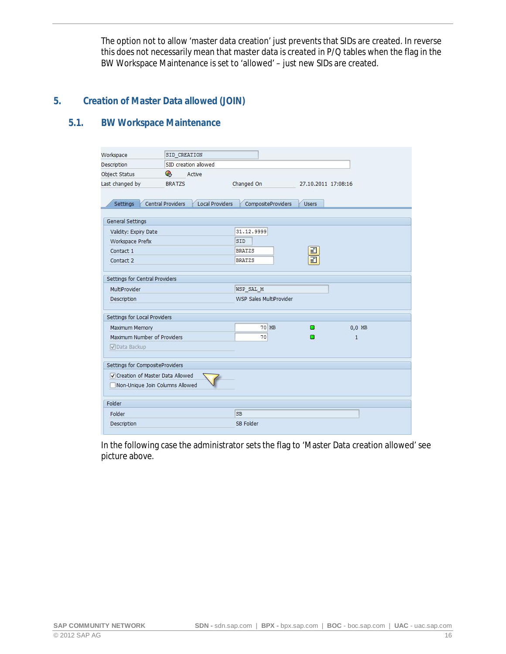The option not to allow 'master data creation' just prevents that SIDs are created. In reverse this does not necessarily mean that master data is created in P/Q tables when the flag in the BW Workspace Maintenance is set to 'allowed' – just new SIDs are created.

#### **5. Creation of Master Data allowed (JOIN)**

### <span id="page-15-0"></span>**5.1. BW Workspace Maintenance**

<span id="page-15-1"></span>

| Workspace                       | SID CREATION                                |                           |                     |              |
|---------------------------------|---------------------------------------------|---------------------------|---------------------|--------------|
| Description                     | SID creation allowed                        |                           |                     |              |
| Object Status                   | G<br>Active                                 |                           |                     |              |
| Last changed by                 | <b>BRATZS</b>                               | Changed On                | 27.10.2011 17:08:16 |              |
|                                 |                                             |                           |                     |              |
| Settings                        | Central Providers<br><b>Local Providers</b> | <b>CompositeProviders</b> | <b>Users</b>        |              |
| General Settings                |                                             |                           |                     |              |
| Validity: Expiry Date           |                                             | 31.12.9999                |                     |              |
| Workspace Prefix                |                                             | SID                       |                     |              |
| Contact 1                       |                                             | <b>BRATZS</b>             |                     |              |
| Contact 2                       |                                             | <b>BRATZS</b>             | ⊒<br>F              |              |
|                                 |                                             |                           |                     |              |
| Settings for Central Providers  |                                             |                           |                     |              |
| MultiProvider                   |                                             | WSP SAL M                 |                     |              |
| Description                     |                                             | WSP Sales MultiProvider   |                     |              |
| Settings for Local Providers    |                                             |                           |                     |              |
| Maximum Memory                  |                                             | 70 MB                     | п                   | $0,0$ MB     |
| Maximum Number of Providers     |                                             | 70                        | о                   | $\mathbf{1}$ |
| √Data Backup                    |                                             |                           |                     |              |
| Settings for CompositeProviders |                                             |                           |                     |              |
| Creation of Master Data Allowed |                                             |                           |                     |              |
|                                 | Non-Unique Join Columns Allowed             |                           |                     |              |
| Folder                          |                                             |                           |                     |              |
| Folder                          |                                             | <b>SB</b>                 |                     |              |
| Description                     |                                             | SB Folder                 |                     |              |
|                                 |                                             |                           |                     |              |

In the following case the administrator sets the flag to 'Master Data creation allowed' see picture above.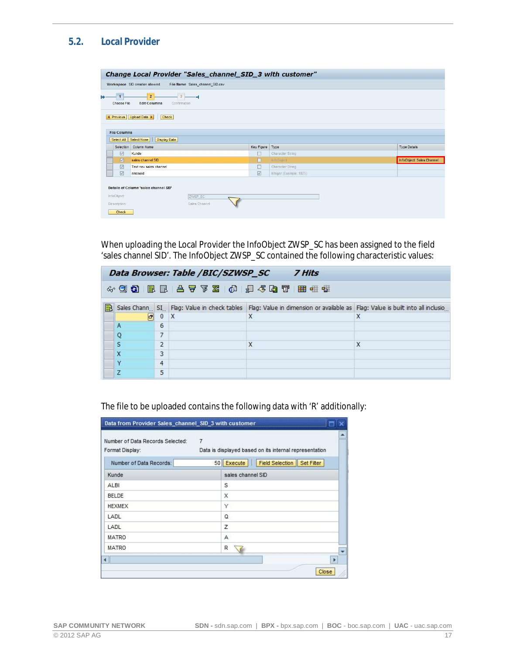### **5.2. Local Provider**

<span id="page-16-0"></span>

|                                                                                                              | Change Local Provider "Sales_channel_SID_3 with customer"         |                   |                         |                           |  |  |  |  |
|--------------------------------------------------------------------------------------------------------------|-------------------------------------------------------------------|-------------------|-------------------------|---------------------------|--|--|--|--|
|                                                                                                              | Workspace SID creation allowed<br>File Name Sales_channel_SID.csv |                   |                         |                           |  |  |  |  |
| $\overline{2}$<br>ь<br><b>Edit Columns</b><br>Choose File<br>Confirmation                                    |                                                                   |                   |                         |                           |  |  |  |  |
| <b>4</b> Previous<br>Upload Data<br>Check<br><b>File Columns</b><br>Select All   Select None<br>Display Data |                                                                   |                   |                         |                           |  |  |  |  |
| Selection                                                                                                    | Column Name                                                       | Key Figure        | Type                    | <b>Type Details</b>       |  |  |  |  |
| $\overline{\vee}$                                                                                            | Kunde                                                             | E                 | Character String        |                           |  |  |  |  |
| $\boxed{\nabla}$                                                                                             | sales channel SID                                                 | п                 | <b>InfoObject</b>       | InfoObject: Sales Channel |  |  |  |  |
| $\triangledown$                                                                                              | Text neu sales channel                                            | П                 | Character String        |                           |  |  |  |  |
| $\overline{\vee}$                                                                                            | amosold                                                           | $\overline{\vee}$ | Integer (Example: 1025) |                           |  |  |  |  |
| InfoObject:<br>Description:<br>Check                                                                         | Details of Column 'sales channel SID'<br>ZWSP_SC<br>Sales Channel |                   |                         |                           |  |  |  |  |

When uploading the Local Provider the InfoObject ZWSP\_SC has been assigned to the field 'sales channel SID'. The InfoObject ZWSP\_SC contained the following characteristic values:

|   | Data Browser: Table /BIC/SZWSP_SC<br><b>7 Hits</b> |                |   |                                                                                                                             |   |  |  |  |
|---|----------------------------------------------------|----------------|---|-----------------------------------------------------------------------------------------------------------------------------|---|--|--|--|
|   |                                                    |                |   | 433 显显 台子区 @ 担任电子 用量性                                                                                                       |   |  |  |  |
| R |                                                    |                |   | Sales Chann SI Flag: Value in check tables Flag: Value in dimension or available as Flag: Value is built into all inclusio. |   |  |  |  |
|   | $ \sigma $                                         | $\mathbf{0}$   | X | X                                                                                                                           | х |  |  |  |
|   | $\mathsf{A}$                                       | 6              |   |                                                                                                                             |   |  |  |  |
|   | $\circ$                                            | 7              |   |                                                                                                                             |   |  |  |  |
|   | S                                                  | $\overline{2}$ |   | X                                                                                                                           | X |  |  |  |
|   | X                                                  | 3              |   |                                                                                                                             |   |  |  |  |
|   |                                                    | 4              |   |                                                                                                                             |   |  |  |  |
|   |                                                    | 5              |   |                                                                                                                             |   |  |  |  |

| Format Display:         |   |                   | Data is displayed based on its internal representation |  |
|-------------------------|---|-------------------|--------------------------------------------------------|--|
| Number of Data Records: |   | 50 Execute        | Field Selection Set Filter                             |  |
| Kunde                   |   | sales channel SID |                                                        |  |
| ALBI                    |   | s                 |                                                        |  |
| <b>BELDE</b>            |   | Х                 |                                                        |  |
| <b>HEXMEX</b>           |   |                   | Υ                                                      |  |
| LADL                    |   | Q                 |                                                        |  |
| LADL                    | z |                   |                                                        |  |
| <b>MATRO</b>            | А |                   |                                                        |  |
| MATRO                   |   | R                 |                                                        |  |

The file to be uploaded contains the following data with 'R' additionally: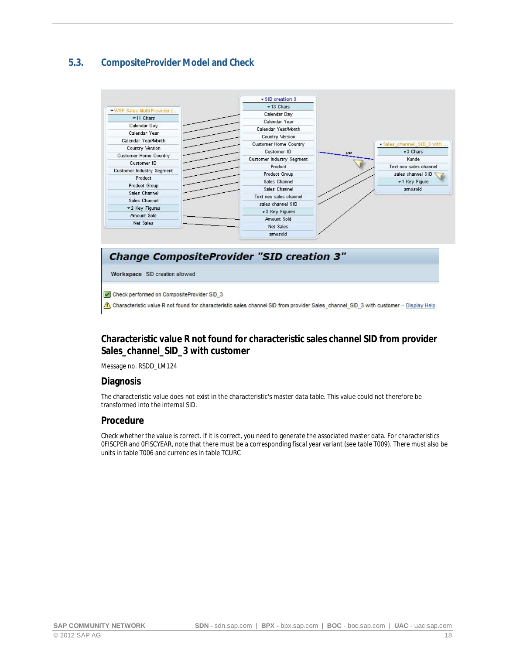### **5.3. CompositeProvider Model and Check**

<span id="page-17-0"></span>

#### **Change CompositeProvider "SID creation 3"**

Workspace SID creation allowed

Check performed on CompositeProvider SID\_3

Characteristic value R not found for characteristic sales channel SID from provider Sales\_channel\_SID\_3 with customer - Display Help

#### **Characteristic value R not found for characteristic sales channel SID from provider Sales\_channel\_SID\_3 with customer**

Message no. RSDD\_LM124

#### **Diagnosis**

The characteristic value does not exist in the characteristic's master data table. This value could not therefore be transformed into the internal SID.

#### **Procedure**

Check whether the value is correct. If it is correct, you need to generate the associated master data. For characteristics 0FISCPER and 0FISCYEAR, note that there must be a corresponding fiscal year variant (see table T009). There must also be units in table T006 and currencies in table TCURC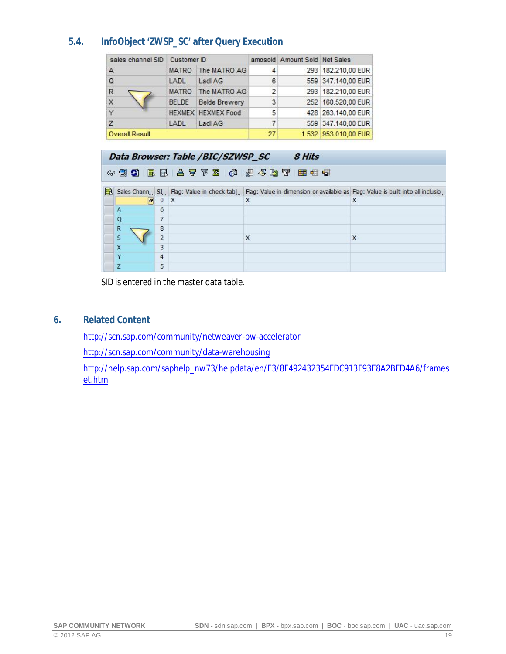### **5.4. InfoObject 'ZWSP\_SC' after Query Execution**

<span id="page-18-0"></span>

| sales channel SID | Customer ID  |                           |                | amosold Amount Sold Net Sales |                      |
|-------------------|--------------|---------------------------|----------------|-------------------------------|----------------------|
| $\mathsf{A}$      | <b>MATRO</b> | The MATRO AG              | 4              |                               | 293 182.210,00 EUR   |
| $\Omega$          | LADL         | Ladl AG                   | 6              |                               | 559 347.140,00 EUR   |
| $\mathsf{R}$      |              | MATRO The MATRO AG        | $\overline{2}$ |                               | 293 182.210.00 EUR   |
| $\overline{X}$    | <b>BELDE</b> | <b>Belde Brewery</b>      | 3              |                               | 252 160.520.00 EUR   |
| Υ                 |              | <b>HEXMEX HEXMEX Food</b> | 5              |                               | 428 263.140.00 EUR   |
| Z                 | LADL         | Ladi AG                   | 7              |                               | 559 347.140,00 EUR   |
| Overall Result    |              |                           | 27             |                               | 1.532 953.010,00 EUR |

|    |                |                | Data Browser: Table /BIC/SZWSP_SC | 8 Hits                                                                                                                    |   |
|----|----------------|----------------|-----------------------------------|---------------------------------------------------------------------------------------------------------------------------|---|
|    |                |                |                                   | 433 日日27 26 26 27 30 30 30 30                                                                                             |   |
| IΒ |                |                |                                   | Sales Chann SI. Flag: Value in check tabl Flag: Value in dimension or available as Flag: Value is built into all inclusio |   |
|    | $ \mathbf{r} $ | 0              | $\mathsf{X}$                      | X                                                                                                                         | X |
|    | Α              | 6              |                                   |                                                                                                                           |   |
|    | Q              | 7              |                                   |                                                                                                                           |   |
|    | R              | 8              |                                   |                                                                                                                           |   |
|    | S              | $\overline{2}$ |                                   | X                                                                                                                         | X |
|    |                | 3              |                                   |                                                                                                                           |   |
|    | v              | 4              |                                   |                                                                                                                           |   |
|    | 7              | 5              |                                   |                                                                                                                           |   |

SID is entered in the master data table.

**6. Related Content**

<span id="page-18-1"></span><http://scn.sap.com/community/netweaver-bw-accelerator>

<http://scn.sap.com/community/data-warehousing>

[http://help.sap.com/saphelp\\_nw73/helpdata/en/F3/8F492432354FDC913F93E8A2BED4A6/frames](http://help.sap.com/saphelp_nw73/helpdata/en/F3/8F492432354FDC913F93E8A2BED4A6/frameset.htm) [et.htm](http://help.sap.com/saphelp_nw73/helpdata/en/F3/8F492432354FDC913F93E8A2BED4A6/frameset.htm)